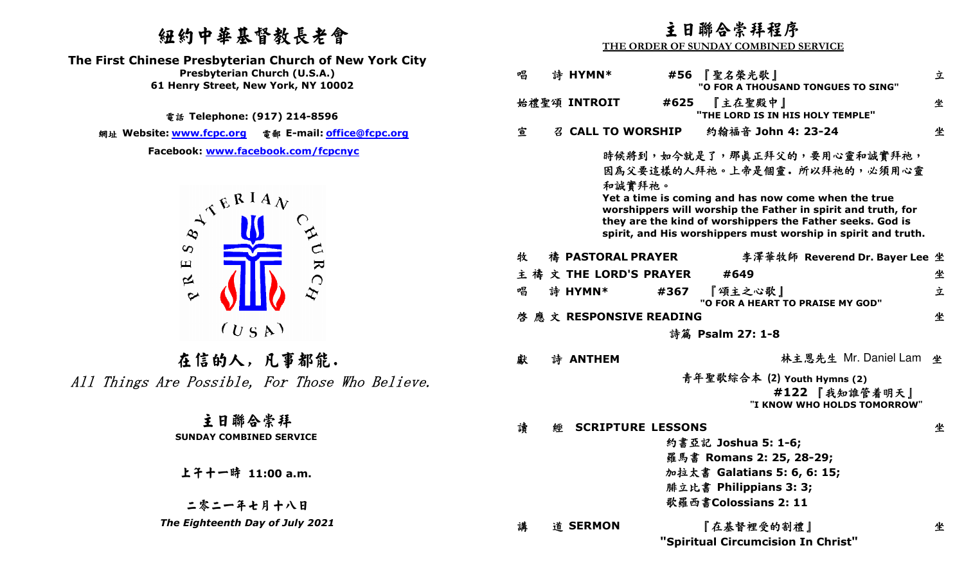# 紐約中華基督教長老會

 **The First Chinese Presbyterian Church of New York City** 



在信的人, 凡事都能.All Things Are Possible, For Those Who Believe.

| 纽约中華基督教長老會                                                                                                                | 主日聯合崇拜程序 |   |                          |      |                                                                                                                                                                                                                                                                                                                   |   |
|---------------------------------------------------------------------------------------------------------------------------|----------|---|--------------------------|------|-------------------------------------------------------------------------------------------------------------------------------------------------------------------------------------------------------------------------------------------------------------------------------------------------------------------|---|
|                                                                                                                           |          |   |                          |      | THE ORDER OF SUNDAY COMBINED SERVICE                                                                                                                                                                                                                                                                              |   |
| First Chinese Presbyterian Church of New York City<br>Presbyterian Church (U.S.A.)<br>61 Henry Street, New York, NY 10002 | 唱        |   | 詩 HYMN*                  |      | #56 『聖名榮光歌』<br>"O FOR A THOUSAND TONGUES TO SING"                                                                                                                                                                                                                                                                 | 立 |
| 電話 Telephone: (917) 214-8596                                                                                              |          |   | 始禮聖頌 INTROIT             | #625 | 『主在聖殿中』<br>"THE LORD IS IN HIS HOLY TEMPLE"                                                                                                                                                                                                                                                                       | 坐 |
| 網址 Website: <u>www.fcpc.org</u> 電郵 E-mail: <u>office@fcpc.org</u>                                                         | 宣        | 召 | <b>CALL TO WORSHIP</b>   |      | 約翰福音 John 4: 23-24                                                                                                                                                                                                                                                                                                | 坐 |
| Facebook: www.facebook.com/fcpcnyc<br>ATERIAN                                                                             |          |   | 和誠實拜祂。                   |      | 時候將到,如今就是了,那真正拜父的,要用心靈和誠實拜祂,<br>因為父要這樣的人拜祂。上帝是個靈。所以拜祂的,必須用心靈<br>Yet a time is coming and has now come when the true<br>worshippers will worship the Father in spirit and truth, for<br>they are the kind of worshippers the Father seeks. God is<br>spirit, and His worshippers must worship in spirit and truth. |   |
| $\infty$                                                                                                                  | 牧        |   | 禱 PASTORAL PRAYER        |      | 李澤華牧師 Reverend Dr. Bayer Lee 坐                                                                                                                                                                                                                                                                                    |   |
| $\overline{\bf k}$<br>$\mathbf \mu$<br>$\approx$                                                                          |          |   | 主 禱 文 THE LORD'S PRAYER  |      | #649                                                                                                                                                                                                                                                                                                              | 坐 |
| $\bm{\hat{\mathcal{L}}}$<br>$\sim$                                                                                        | 唱        |   | 詩 HYMN*                  | #367 | 『頌主之心歌』<br>"O FOR A HEART TO PRAISE MY GOD"                                                                                                                                                                                                                                                                       | 立 |
|                                                                                                                           |          |   | 啓 應 文 RESPONSIVE READING |      |                                                                                                                                                                                                                                                                                                                   | 坐 |
| (U S A)                                                                                                                   |          |   |                          |      | 詩篇 Psalm 27: 1-8                                                                                                                                                                                                                                                                                                  |   |
| 在信的人,凡事都能.                                                                                                                | 獻        |   | 詩 ANTHEM                 |      | 林主恩先生 Mr. Daniel Lam 坐                                                                                                                                                                                                                                                                                            |   |
| Things Are Possible, For Those Who Believe.                                                                               |          |   |                          |      | 青年聖歌綜合本 (2) Youth Hymns (2)<br>#122 『我知誰管着明天』<br>"I KNOW WHO HOLDS TOMORROW"                                                                                                                                                                                                                                      |   |
| 主日聯合崇拜<br><b>SUNDAY COMBINED SERVICE</b>                                                                                  | 讀        |   | <b>SCRIPTURE LESSONS</b> |      | 約書亞記 Joshua 5: 1-6;<br>羅馬書 Romans 2: 25, 28-29;                                                                                                                                                                                                                                                                   | 坐 |
| 上午十一時 11:00 a.m.<br>二零二一年七月十八日                                                                                            |          |   |                          |      | 加拉太書 Galatians 5: 6, 6: 15;<br>腓立比書 Philippians 3: 3;<br>歌羅西書Colossians 2: 11                                                                                                                                                                                                                                     |   |
| The Eighteenth Day of July 2021                                                                                           | 講        |   | 道 <b>SERMON</b>          |      | 『在基督裡受的割禮』<br>"Spiritual Circumcision In Christ"                                                                                                                                                                                                                                                                  | 坐 |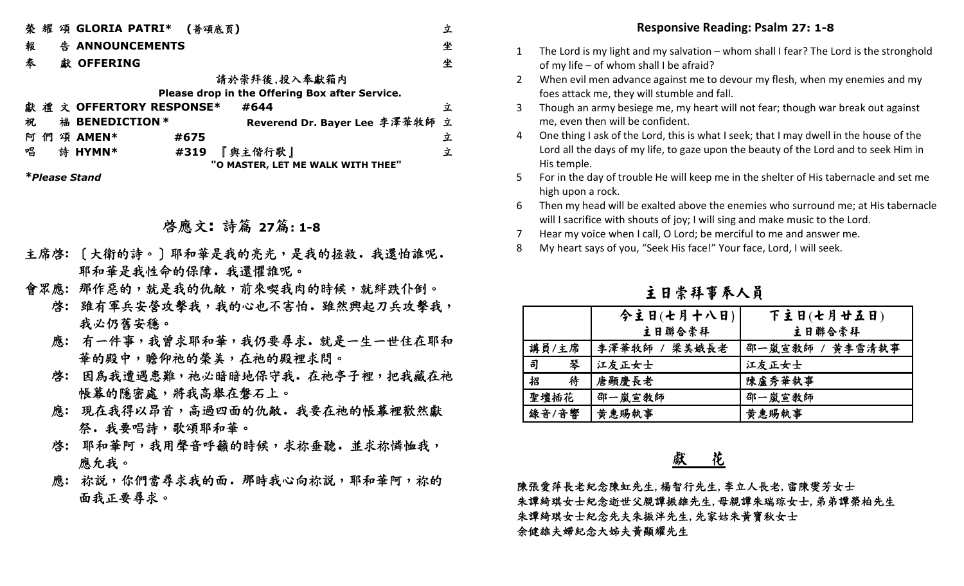| 榮 |   | 耀 頌 GLORIA PATRI* (普頌底頁) |      |                                                | 立 |
|---|---|--------------------------|------|------------------------------------------------|---|
| 報 |   | 告 ANNOUNCEMENTS          |      |                                                | 坐 |
| 奉 |   | 獻 OFFERING               |      |                                                | 坐 |
|   |   |                          |      | 請於崇拜後,投入奉獻箱内                                   |   |
|   |   |                          |      | Please drop in the Offering Box after Service. |   |
|   |   | 獻禮文 OFFERTORY RESPONSE*  |      | #644                                           | 立 |
| 祝 |   | 福 BENEDICTION *          |      | Reverend Dr. Bayer Lee 李澤華牧師 立                 |   |
| 阿 | 們 | 頌 AMEN*                  | #675 |                                                | 立 |
| 唱 |   | 詩 HYMN*                  | #319 | 『與主偕行歌』                                        | 立 |
|   |   |                          |      | "O MASTER, LET ME WALK WITH THEE"              |   |
|   |   |                          |      |                                                |   |

*\*Please Stand*

啟應文**:** 詩篇 **<sup>27</sup>**篇**: 1-8** 

- 主席啟**:** 〔大衛的詩。〕耶和華是我的亮光,是我的拯救.我還怕誰呢. 耶和華是我性命的保障.我還懼誰呢。
- 會眾應**:** 那作惡的,就是我的仇敵,前來喫我肉的時候,就絆跌仆倒。
- 啓: 雖有軍兵安營攻擊我,我的心也不害怕. 雖然興起刀兵攻擊我, 我必仍舊安穩。
- 應**:** 有一件事,我曾求耶和華,我仍要尋求.就是一生一世住在耶和華的殿中,瞻仰祂的榮美,在祂的殿裡求問。
- 啓: 因為我遭遇患難,祂必暗暗地保守我. 在祂亭子裡,把我藏在祂 帳幕的隱密處,將我高舉在磐石上。
- 應**:** 現在我得以昂首,高過四面的仇敵.我要在祂的帳幕裡歡然獻祭. 我要唱詩,歌頌耶和華。
	- 啓: 耶和華阿,我用聲音呼籲的時候,求祢垂聽. 並求祢憐恤我, 應允我。
	- 應: 祢説,你們當尋求我的面. 那時我心向祢説,耶和華阿,祢的 面我正要尋求。
- **Responsive Reading: Psalm 27: 1-8**
- 1 The Lord is my light and my salvation whom shall I fear? The Lord is the stronghold of my life – of whom shall I be afraid?
- 2 When evil men advance against me to devour my flesh, when my enemies and my foes attack me, they will stumble and fall.
- 3 Though an army besiege me, my heart will not fear; though war break out against me, even then will be confident.
- 4 One thing I ask of the Lord, this is what I seek; that I may dwell in the house of the Lord all the days of my life, to gaze upon the beauty of the Lord and to seek Him in His temple.
- 5 For in the day of trouble He will keep me in the shelter of His tabernacle and set me high upon a rock.
- 6 Then my head will be exalted above the enemies who surround me; at His tabernacle will I sacrifice with shouts of joy; I will sing and make music to the Lord.
- 7 Hear my voice when I call, O Lord; be merciful to me and answer me.
- 8 My heart says of you, "Seek His face!" Your face, Lord, I will seek.

主日崇拜事奉人員

|        | 今主日(七月十八日)    | 下主日(七月廿五日)      |
|--------|---------------|-----------------|
|        | 主日聯合崇拜        | 主日聯合崇拜          |
| 講員/主席  | 李澤華牧師 / 梁美娥長老 | 邵一嵐宣敎師 / 黄李雪清執事 |
| 琴<br>司 | 江友正女士         | 江友正女士           |
| 待<br>招 | 唐顯慶長老         | 陳盧秀華執事          |
| 聖壇插花   | 邵一嵐宣教師        | 邵一嵐宣教師          |
| 錄音/音響  | 黄惠賜執事         | 黄惠賜執事           |

獻花

 陳張愛萍長老紀念陳虹先生,楊智行先生,李立人長老,雷陳爕芳女士 朱譚綺琪女士紀念逝世父親譚振雄先生,母親譚朱瑞琼女士,弟弟譚榮柏先生 朱譚綺琪女士紀念先夫朱振泮先生,先家姑朱黃寶秋女士 余健雄夫婦紀念大姊夫黃顯耀先生